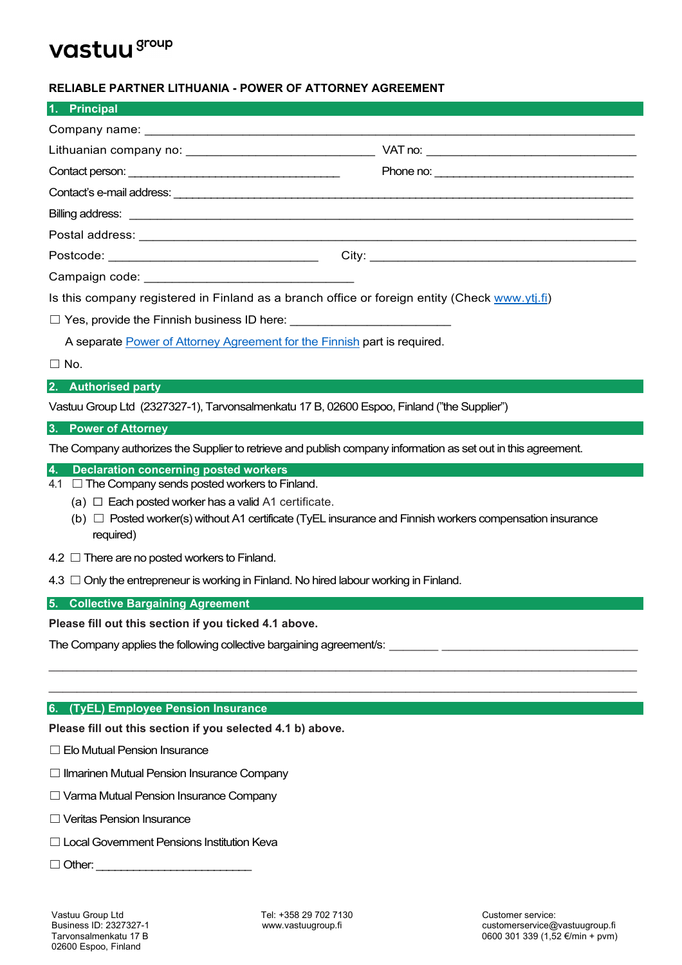# vastuu group

## **RELIABLE PARTNER LITHUANIA - POWER OF ATTORNEY AGREEMENT**

| 1. Principal                                                                                  |  |
|-----------------------------------------------------------------------------------------------|--|
|                                                                                               |  |
|                                                                                               |  |
|                                                                                               |  |
|                                                                                               |  |
|                                                                                               |  |
|                                                                                               |  |
|                                                                                               |  |
|                                                                                               |  |
| Is this company registered in Finland as a branch office or foreign entity (Check www.ytj.fi) |  |
| $\Box$ Yes, provide the Finnish business ID here: _____________________________               |  |
| A separate Power of Attorney Agreement for the Finnish part is required.                      |  |
| $\Box$ No.                                                                                    |  |
| 2. Authorised party                                                                           |  |
| Vastuu Group Ltd (2327327-1), Tarvonsalmenkatu 17 B, 02600 Espoo, Finland ("the Supplier")    |  |
| 3. Power of Attorney                                                                          |  |

The Company authorizes the Supplier to retrieve and publish company information as set out in this agreement.

## **4. Declaration concerning posted workers**

- $4.1$   $\Box$  The Company sends posted workers to Finland.
	- (a)  $\Box$  Each posted worker has a valid A1 certificate.
	- (b)  $\Box$  Posted worker(s) without A1 certificate (TyEL insurance and Finnish workers compensation insurance required)

\_\_\_\_\_\_\_\_\_\_\_\_\_\_\_\_\_\_\_\_\_\_\_\_\_\_\_\_\_\_\_\_\_\_\_\_\_\_\_\_\_\_\_\_\_\_\_\_\_\_\_\_\_\_\_\_\_\_\_\_\_\_\_\_\_\_\_\_\_\_\_\_\_\_\_\_\_\_\_\_\_\_\_\_ \_\_\_\_\_\_\_\_\_\_\_\_\_\_\_\_\_\_\_\_\_\_\_\_\_\_\_\_\_\_\_\_\_\_\_\_\_\_\_\_\_\_\_\_\_\_\_\_\_\_\_\_\_\_\_\_\_\_\_\_\_\_\_\_\_\_\_\_\_\_\_\_\_\_\_\_\_\_\_\_\_\_\_\_

- 4.2 □ There are no posted workers to Finland.
- 4.3 □ Only the entrepreneur is working in Finland. No hired labour working in Finland.

**5. Collective Bargaining Agreement**

**Please fill out this section if you ticked 4.1 above.**

The Company applies the following collective bargaining agreement/s:

## **6. (TyEL) Employee Pension Insurance**

**Please fill out this section if you selected 4.1 b) above.**

- ☐Elo Mutual Pension Insurance
- □ Ilmarinen Mutual Pension Insurance Company
- ☐Varma Mutual Pension Insurance Company
- ☐Veritas Pension Insurance
- □ Local Government Pensions Institution Keva
- $\Box$  Other: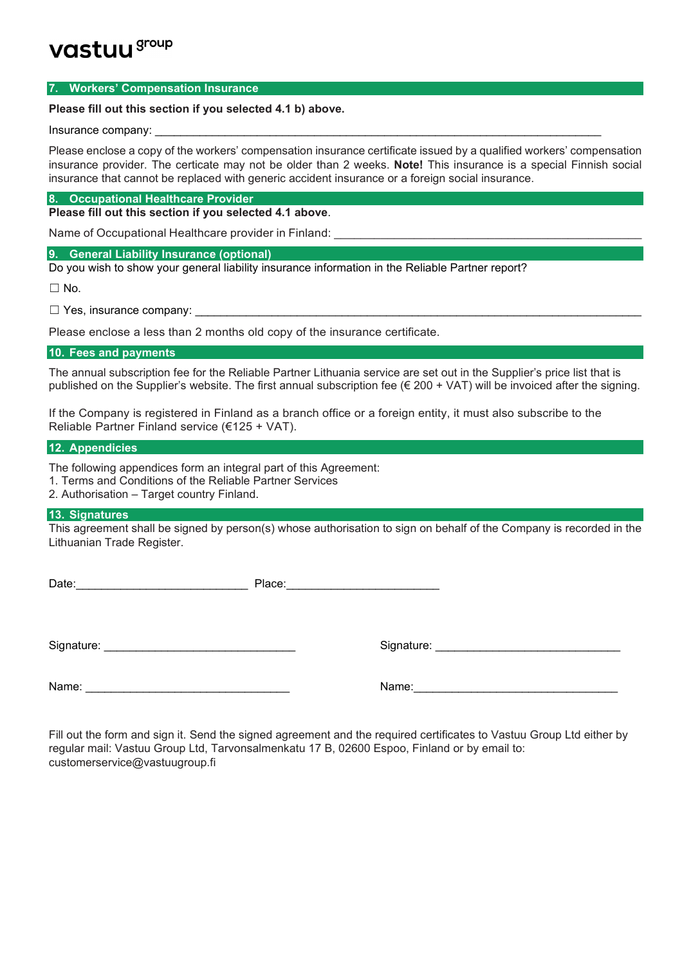## vastuu group

#### **7. Workers' Compensation Insurance**

#### **Please fill out this section if you selected 4.1 b) above.**

#### Insurance company:

Please enclose a copy of the workers' compensation insurance certificate issued by a qualified workers' compensation insurance provider. The certicate may not be older than 2 weeks. **Note!** This insurance is a special Finnish social insurance that cannot be replaced with generic accident insurance or a foreign social insurance.

## **8. Occupational Healthcare Provider**

**Please fill out this section if you selected 4.1 above**.

Name of Occupational Healthcare provider in Finland:

#### **9. General Liability Insurance (optional)**

Do you wish to show your general liability insurance information in the Reliable Partner report?

 $\Box$  No.

 $\Box$  Yes, insurance company:

Please enclose a less than 2 months old copy of the insurance certificate.

## **10. Fees and payments**

The annual subscription fee for the Reliable Partner Lithuania service are set out in the Supplier's price list that is published on the Supplier's website. The first annual subscription fee  $(\epsilon 200 + VAT)$  will be invoiced after the signing.

If the Company is registered in Finland as a branch office or a foreign entity, it must also subscribe to the Reliable Partner Finland service (€125 + VAT).

## **12. Appendicies**

The following appendices form an integral part of this Agreement:

1. Terms and Conditions of the Reliable Partner Services

2. Authorisation – Target country Finland.

#### **13. Signatures**

This agreement shall be signed by person(s) whose authorisation to sign on behalf of the Company is recorded in the Lithuanian Trade Register.

Date:\_\_\_\_\_\_\_\_\_\_\_\_\_\_\_\_\_\_\_\_\_\_\_\_\_\_\_ Place:\_\_\_\_\_\_\_\_\_\_\_\_\_\_\_\_\_\_\_\_\_\_\_\_ Signature: \_\_\_\_\_\_\_\_\_\_\_\_\_\_\_\_\_\_\_\_\_\_\_\_\_\_\_\_\_\_ Signature: \_\_\_\_\_\_\_\_\_\_\_\_\_\_\_\_\_\_\_\_\_\_\_\_\_\_\_\_\_

Name:

Fill out the form and sign it. Send the signed agreement and the required certificates to Vastuu Group Ltd either by regular mail: Vastuu Group Ltd, Tarvonsalmenkatu 17 B, 02600 Espoo, Finland or by email to: customerservice@vastuugroup.fi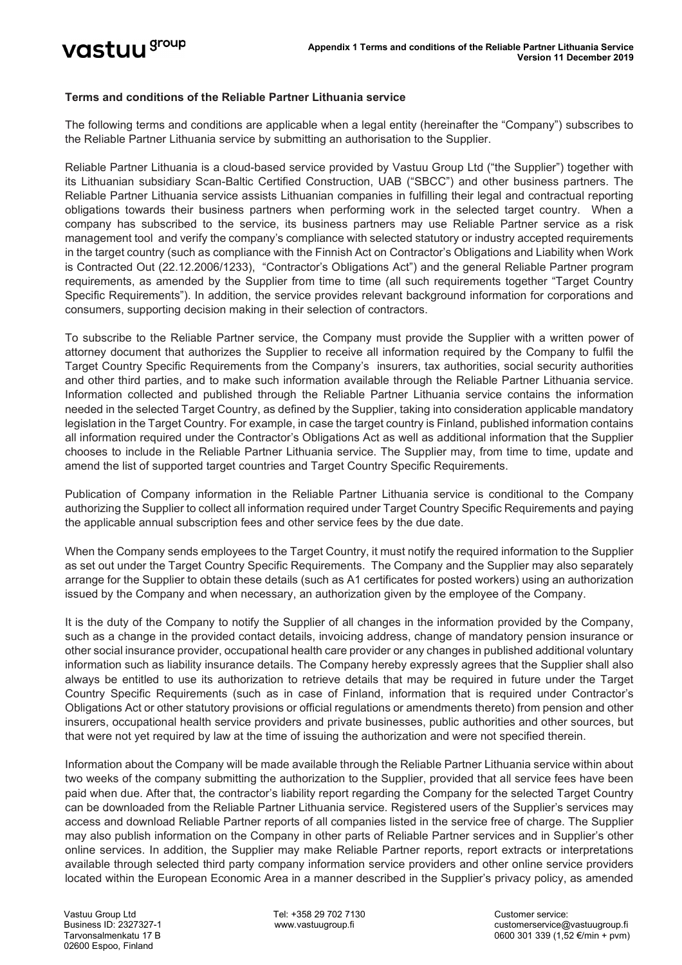## **Terms and conditions of the Reliable Partner Lithuania service**

The following terms and conditions are applicable when a legal entity (hereinafter the "Company") subscribes to the Reliable Partner Lithuania service by submitting an authorisation to the Supplier.

Reliable Partner Lithuania is a cloud-based service provided by Vastuu Group Ltd ("the Supplier") together with its Lithuanian subsidiary Scan-Baltic Certified Construction, UAB ("SBCC") and other business partners. The Reliable Partner Lithuania service assists Lithuanian companies in fulfilling their legal and contractual reporting obligations towards their business partners when performing work in the selected target country. When a company has subscribed to the service, its business partners may use Reliable Partner service as a risk management tool and verify the company's compliance with selected statutory or industry accepted requirements in the target country (such as compliance with the Finnish Act on Contractor's Obligations and Liability when Work is Contracted Out (22.12.2006/1233), "Contractor's Obligations Act") and the general Reliable Partner program requirements, as amended by the Supplier from time to time (all such requirements together "Target Country Specific Requirements"). In addition, the service provides relevant background information for corporations and consumers, supporting decision making in their selection of contractors.

To subscribe to the Reliable Partner service, the Company must provide the Supplier with a written power of attorney document that authorizes the Supplier to receive all information required by the Company to fulfil the Target Country Specific Requirements from the Company's insurers, tax authorities, social security authorities and other third parties, and to make such information available through the Reliable Partner Lithuania service. Information collected and published through the Reliable Partner Lithuania service contains the information needed in the selected Target Country, as defined by the Supplier, taking into consideration applicable mandatory legislation in the Target Country. For example, in case the target country is Finland, published information contains all information required under the Contractor's Obligations Act as well as additional information that the Supplier chooses to include in the Reliable Partner Lithuania service. The Supplier may, from time to time, update and amend the list of supported target countries and Target Country Specific Requirements.

Publication of Company information in the Reliable Partner Lithuania service is conditional to the Company authorizing the Supplier to collect all information required under Target Country Specific Requirements and paying the applicable annual subscription fees and other service fees by the due date.

When the Company sends employees to the Target Country, it must notify the required information to the Supplier as set out under the Target Country Specific Requirements. The Company and the Supplier may also separately arrange for the Supplier to obtain these details (such as A1 certificates for posted workers) using an authorization issued by the Company and when necessary, an authorization given by the employee of the Company.

It is the duty of the Company to notify the Supplier of all changes in the information provided by the Company, such as a change in the provided contact details, invoicing address, change of mandatory pension insurance or other social insurance provider, occupational health care provider or any changes in published additional voluntary information such as liability insurance details. The Company hereby expressly agrees that the Supplier shall also always be entitled to use its authorization to retrieve details that may be required in future under the Target Country Specific Requirements (such as in case of Finland, information that is required under Contractor's Obligations Act or other statutory provisions or official regulations or amendments thereto) from pension and other insurers, occupational health service providers and private businesses, public authorities and other sources, but that were not yet required by law at the time of issuing the authorization and were not specified therein.

Information about the Company will be made available through the Reliable Partner Lithuania service within about two weeks of the company submitting the authorization to the Supplier, provided that all service fees have been paid when due. After that, the contractor's liability report regarding the Company for the selected Target Country can be downloaded from the Reliable Partner Lithuania service. Registered users of the Supplier's services may access and download Reliable Partner reports of all companies listed in the service free of charge. The Supplier may also publish information on the Company in other parts of Reliable Partner services and in Supplier's other online services. In addition, the Supplier may make Reliable Partner reports, report extracts or interpretations available through selected third party company information service providers and other online service providers located within the European Economic Area in a manner described in the Supplier's privacy policy, as amended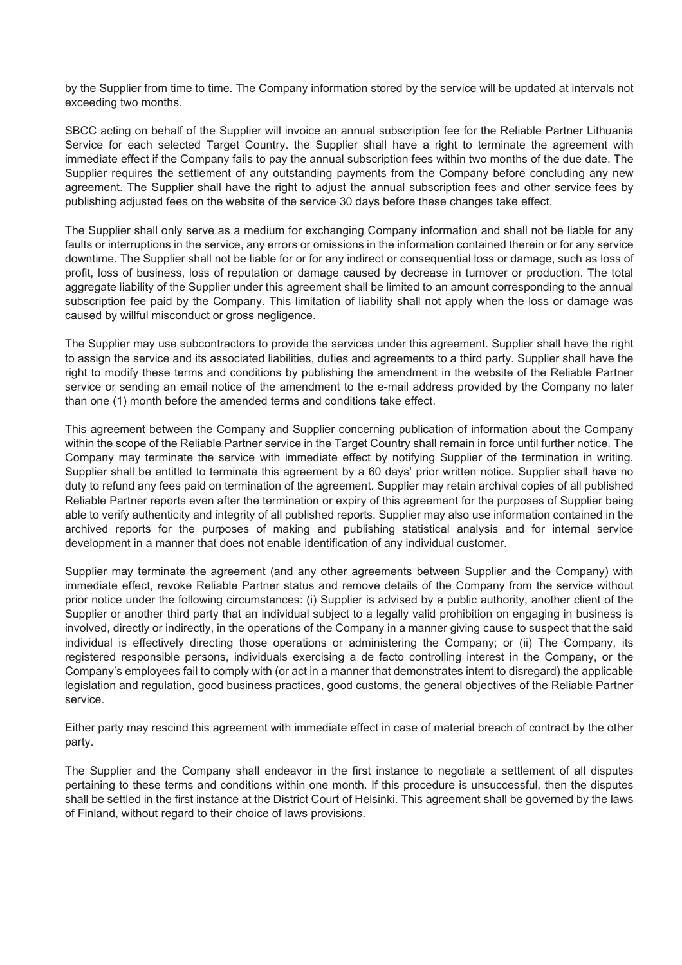by the Supplier from time to time. The Company information stored by the service will be updated at intervals not exceeding two months.

SBCC acting on behalf of the Supplier will invoice an annual subscription fee for the Reliable Partner Lithuania Service for each selected Target Country. the Supplier shall have a right to terminate the agreement with immediate effect if the Company fails to pay the annual subscription fees within two months of the due date. The Supplier requires the settlement of any outstanding payments from the Company before concluding any new agreement. The Supplier shall have the right to adjust the annual subscription fees and other service fees by publishing adjusted fees on the website of the service 30 days before these changes take effect.

The Supplier shall only serve as a medium for exchanging Company information and shall not be liable for any faults or interruptions in the service, any errors or omissions in the information contained therein or for any service downtime. The Supplier shall not be liable for or for any indirect or consequential loss or damage, such as loss of profit, loss of business, loss of reputation or damage caused by decrease in turnover or production. The total aggregate liability of the Supplier under this agreement shall be limited to an amount corresponding to the annual subscription fee paid by the Company. This limitation of liability shall not apply when the loss or damage was caused by willful misconduct or gross negligence.

The Supplier may use subcontractors to provide the services under this agreement. Supplier shall have the right to assign the service and its associated liabilities, duties and agreements to a third party. Supplier shall have the right to modify these terms and conditions by publishing the amendment in the website of the Reliable Partner service or sending an email notice of the amendment to the e-mail address provided by the Company no later than one (1) month before the amended terms and conditions take effect.

This agreement between the Company and Supplier concerning publication of information about the Company within the scope of the Reliable Partner service in the Target Country shall remain in force until further notice. The Company may terminate the service with immediate effect by notifying Supplier of the termination in writing. Supplier shall be entitled to terminate this agreement by a 60 days' prior written notice. Supplier shall have no duty to refund any fees paid on termination of the agreement. Supplier may retain archival copies of all published Reliable Partner reports even after the termination or expiry of this agreement for the purposes of Supplier being able to verify authenticity and integrity of all published reports. Supplier may also use information contained in the archived reports for the purposes of making and publishing statistical analysis and for internal service development in a manner that does not enable identification of any individual customer.

Supplier may terminate the agreement (and any other agreements between Supplier and the Company) with immediate effect, revoke Reliable Partner status and remove details of the Company from the service without prior notice under the following circumstances: (i) Supplier is advised by a public authority, another client of the Supplier or another third party that an individual subject to a legally valid prohibition on engaging in business is involved, directly or indirectly, in the operations of the Company in a manner giving cause to suspect that the said individual is effectively directing those operations or administering the Company; or (ii) The Company, its registered responsible persons, individuals exercising a de facto controlling interest in the Company, or the Company's employees fail to comply with (or act in a manner that demonstrates intent to disregard) the applicable legislation and regulation, good business practices, good customs, the general objectives of the Reliable Partner service.

Either party may rescind this agreement with immediate effect in case of material breach of contract by the other party.

The Supplier and the Company shall endeavor in the first instance to negotiate a settlement of all disputes pertaining to these terms and conditions within one month. If this procedure is unsuccessful, then the disputes shall be settled in the first instance at the District Court of Helsinki. This agreement shall be governed by the laws of Finland, without regard to their choice of laws provisions.